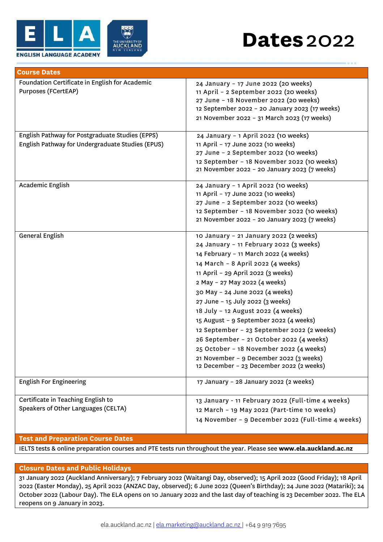

## **Dates**2022

| <b>Course Dates</b>                                                                                 |                                                                                                                                                                                                                                                                                                                                                                                                                                                                                                                                                                                                                           |  |
|-----------------------------------------------------------------------------------------------------|---------------------------------------------------------------------------------------------------------------------------------------------------------------------------------------------------------------------------------------------------------------------------------------------------------------------------------------------------------------------------------------------------------------------------------------------------------------------------------------------------------------------------------------------------------------------------------------------------------------------------|--|
| Foundation Certificate in English for Academic<br>Purposes (FCertEAP)                               | 24 January - 17 June 2022 (20 weeks)<br>11 April - 2 September 2022 (20 weeks)<br>27 June - 18 November 2022 (20 weeks)<br>12 September 2022 - 20 January 2023 (17 weeks)<br>21 November 2022 - 31 March 2023 (17 weeks)                                                                                                                                                                                                                                                                                                                                                                                                  |  |
| English Pathway for Postgraduate Studies (EPPS)<br>English Pathway for Undergraduate Studies (EPUS) | 24 January - 1 April 2022 (10 weeks)<br>11 April - 17 June 2022 (10 weeks)<br>27 June - 2 September 2022 (10 weeks)<br>12 September - 18 November 2022 (10 weeks)<br>21 November 2022 - 20 January 2023 (7 weeks)                                                                                                                                                                                                                                                                                                                                                                                                         |  |
| Academic English                                                                                    | 24 January - 1 April 2022 (10 weeks)<br>11 April - 17 June 2022 (10 weeks)<br>27 June - 2 September 2022 (10 weeks)<br>12 September - 18 November 2022 (10 weeks)<br>21 November 2022 - 20 January 2023 (7 weeks)                                                                                                                                                                                                                                                                                                                                                                                                         |  |
| General English                                                                                     | 10 January - 21 January 2022 (2 weeks)<br>24 January - 11 February 2022 (3 weeks)<br>14 February - 11 March 2022 (4 weeks)<br>14 March - 8 April 2022 (4 weeks)<br>11 April - 29 April 2022 (3 weeks)<br>2 May - 27 May 2022 (4 weeks)<br>30 May - 24 June 2022 (4 weeks)<br>27 June - 15 July 2022 (3 weeks)<br>18 July - 12 August 2022 (4 weeks)<br>15 August - 9 September 2022 (4 weeks)<br>12 September - 23 September 2022 (2 weeks)<br>26 September - 21 October 2022 (4 weeks)<br>25 October - 18 November 2022 (4 weeks)<br>21 November - 9 December 2022 (3 weeks)<br>12 December - 23 December 2022 (2 weeks) |  |
| <b>English For Engineering</b>                                                                      | 17 January - 28 January 2022 (2 weeks)                                                                                                                                                                                                                                                                                                                                                                                                                                                                                                                                                                                    |  |
| Certificate in Teaching English to<br>Speakers of Other Languages (CELTA)                           | 13 January - 11 February 2022 (Full-time 4 weeks)<br>12 March - 19 May 2022 (Part-time 10 weeks)<br>14 November - 9 December 2022 (Full-time 4 weeks)                                                                                                                                                                                                                                                                                                                                                                                                                                                                     |  |

## **Test and Preparation Course Dates**

IELTS tests & online preparation courses and PTE tests run throughout the year. Please see **[www.ela.auckland.ac.nz](http://www.ela.auckland.ac.nz/)**

## **Closure Dates and Public Holidays**

31 January 2022 (Auckland Anniversary); 7 February 2022 (Waitangi Day, observed); 15 April 2022 (Good Friday); 18 April 2022 (Easter Monday), 25 April 2022 (ANZAC Day, observed); 6 June 2022 (Queen's Birthday); 24 June 2022 (Matariki); 24 October 2022 (Labour Day). The ELA opens on 10 January 2022 and the last day of teaching is 23 December 2022. The ELA reopens on 9 January in 2023.